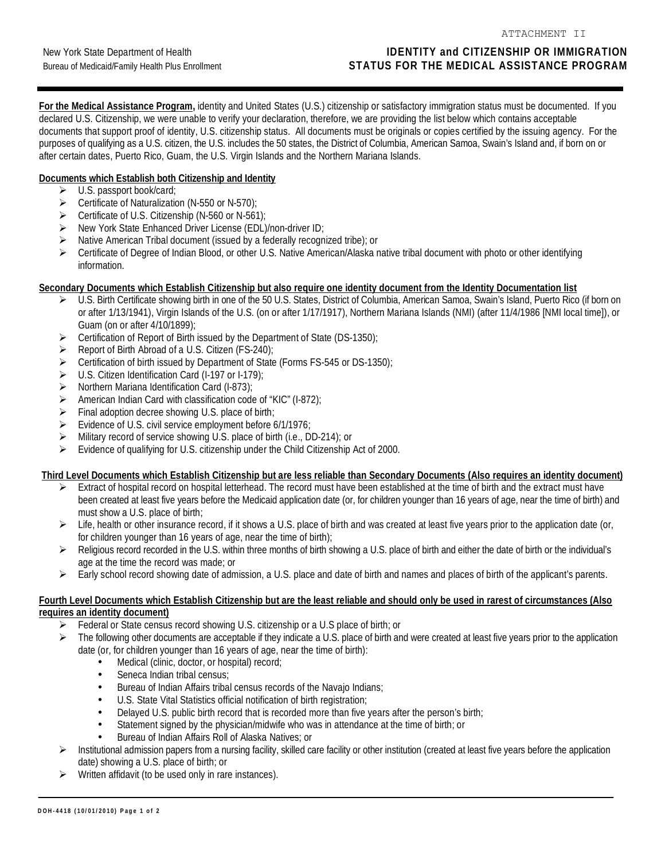ATTACHMENT II

**For the Medical Assistance Program,** identity and United States (U.S.) citizenship or satisfactory immigration status must be documented. If you declared U.S. Citizenship, we were unable to verify your declaration, therefore, we are providing the list below which contains acceptable documents that support proof of identity, U.S. citizenship status. All documents must be originals or copies certified by the issuing agency. For the purposes of qualifying as a U.S. citizen, the U.S. includes the 50 states, the District of Columbia, American Samoa, Swain's Island and, if born on or after certain dates, Puerto Rico, Guam, the U.S. Virgin Islands and the Northern Mariana Islands.

## **Documents which Establish both Citizenship and Identity**

- $\blacktriangleright$ U.S. passport book/card;
- Certificate of Naturalization (N-550 or N-570);
- Certificate of U.S. Citizenship (N-560 or N-561);
- > New York State Enhanced Driver License (EDL)/non-driver ID;
- > Native American Tribal document (issued by a federally recognized tribe); or
- $\blacktriangleright$  Certificate of Degree of Indian Blood, or other U.S. Native American/Alaska native tribal document with photo or other identifying information.

#### **Secondary Documents which Establish Citizenship but also require one identity document from the Identity Documentation list**

- ► U.S. Birth Certificate showing birth in one of the 50 U.S. States, District of Columbia, American Samoa, Swain's Island, Puerto Rico (if born on or after 1/13/1941), Virgin Islands of the U.S. (on or after 1/17/1917), Northern Mariana Islands (NMI) (after 11/4/1986 [NMI local time]), or Guam (on or after 4/10/1899);
- $\blacktriangleright$ Certification of Report of Birth issued by the Department of State (DS-1350);
- $\blacktriangleright$ Report of Birth Abroad of a U.S. Citizen (FS-240);
- $\blacktriangleright$ Certification of birth issued by Department of State (Forms FS-545 or DS-1350);
- $\rightarrow$ U.S. Citizen Identification Card (I-197 or I-179);
- -Northern Mariana Identification Card (I-873);
- $\blacktriangleright$ American Indian Card with classification code of "KIC" (I-872);
- $\blacktriangleright$ Final adoption decree showing U.S. place of birth;
- $\blacktriangleright$ Evidence of U.S. civil service employment before 6/1/1976;
- $\blacktriangleright$ Military record of service showing U.S. place of birth (i.e., DD-214); or
- ► Evidence of qualifying for U.S. citizenship under the Child Citizenship Act of 2000.

## **Third Level Documents which Establish Citizenship but are less reliable than Secondary Documents (Also requires an identity document)**

- $\blacktriangleright$  Extract of hospital record on hospital letterhead. The record must have been established at the time of birth and the extract must have been created at least five years before the Medicaid application date (or, for children younger than 16 years of age, near the time of birth) and must show a U.S. place of birth;
- $\triangleright$  Life, health or other insurance record, if it shows a U.S. place of birth and was created at least five years prior to the application date (or, for children younger than 16 years of age, near the time of birth);
- $\blacktriangleright$  Religious record recorded in the U.S. within three months of birth showing a U.S. place of birth and either the date of birth or the individual's age at the time the record was made; or
- $\blacktriangleright$ Early school record showing date of admission, a U.S. place and date of birth and names and places of birth of the applicant's parents.

#### **Fourth Level Documents which Establish Citizenship but are the least reliable and should only be used in rarest of circumstances (Also requires an identity document)**

- $\blacktriangleright$ Federal or State census record showing U.S. citizenship or a U.S place of birth; or
- $\triangleright$  The following other documents are acceptable if they indicate a U.S. place of birth and were created at least five years prior to the application date (or, for children younger than 16 years of age, near the time of birth):
	- Medical (clinic, doctor, or hospital) record;<br>• Seneca Indian tribal census:
	- Seneca Indian tribal census:
	- Bureau of Indian Affairs tribal census records of the Navajo Indians;
	- U.S. State Vital Statistics official notification of birth registration;<br>• Delaved U.S. public birth record that is recorded more than five
	- Delayed U.S. public birth record that is recorded more than five years after the person's birth;<br>• Statement signed by the physician/midwife who was in attendance at the time of birth; or
	- Statement signed by the physician/midwife who was in attendance at the time of birth; or
	- Bureau of Indian Affairs Roll of Alaska Natives; or
- $\blacktriangleright$  Institutional admission papers from a nursing facility, skilled care facility or other institution (created at least five years before the application date) showing a U.S. place of birth; or
- $\blacktriangleright$ Written affidavit (to be used only in rare instances).